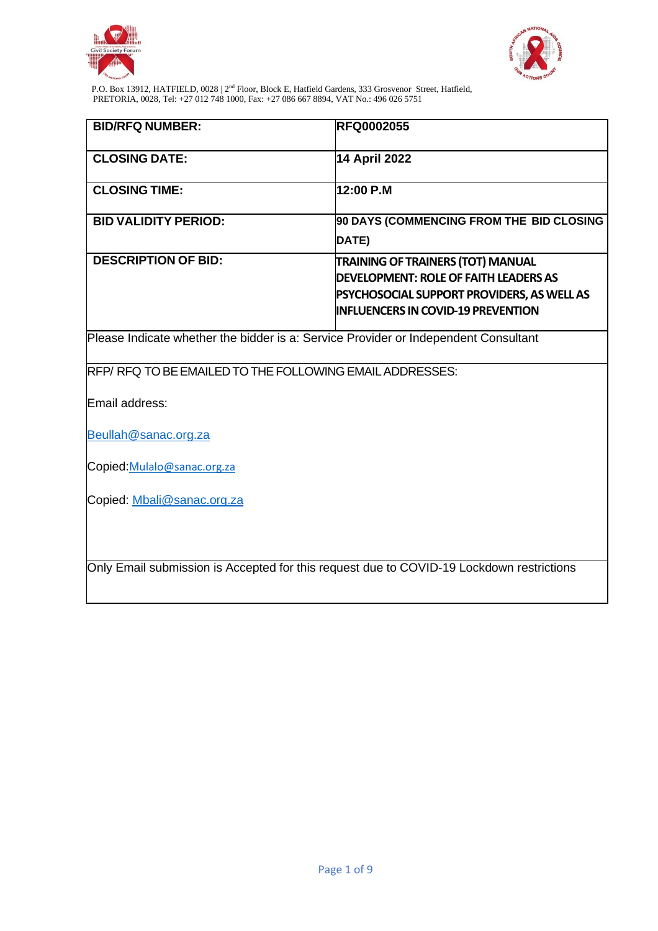



| <b>BID/RFQ NUMBER:</b>                                                                   | <b>RFQ0002055</b>                                                                                                                                                            |  |  |  |
|------------------------------------------------------------------------------------------|------------------------------------------------------------------------------------------------------------------------------------------------------------------------------|--|--|--|
| <b>CLOSING DATE:</b>                                                                     | <b>14 April 2022</b>                                                                                                                                                         |  |  |  |
| <b>CLOSING TIME:</b>                                                                     | 12:00 P.M                                                                                                                                                                    |  |  |  |
| <b>BID VALIDITY PERIOD:</b>                                                              | 90 DAYS (COMMENCING FROM THE BID CLOSING<br>DATE)                                                                                                                            |  |  |  |
| <b>DESCRIPTION OF BID:</b>                                                               | <b>TRAINING OF TRAINERS (TOT) MANUAL</b><br>DEVELOPMENT: ROLE OF FAITH LEADERS AS<br>PSYCHOSOCIAL SUPPORT PROVIDERS, AS WELL AS<br><b>INFLUENCERS IN COVID-19 PREVENTION</b> |  |  |  |
| Please Indicate whether the bidder is a: Service Provider or Independent Consultant      |                                                                                                                                                                              |  |  |  |
| RFP/RFQ TO BE EMAILED TO THE FOLLOWING EMAIL ADDRESSES:                                  |                                                                                                                                                                              |  |  |  |
| Email address:                                                                           |                                                                                                                                                                              |  |  |  |
| Beullah@sanac.org.za                                                                     |                                                                                                                                                                              |  |  |  |
| Copied: Mulalo@sanac.org.za                                                              |                                                                                                                                                                              |  |  |  |
| Copied: Mbali@sanac.org.za                                                               |                                                                                                                                                                              |  |  |  |
| Only Email submission is Accepted for this request due to COVID-19 Lockdown restrictions |                                                                                                                                                                              |  |  |  |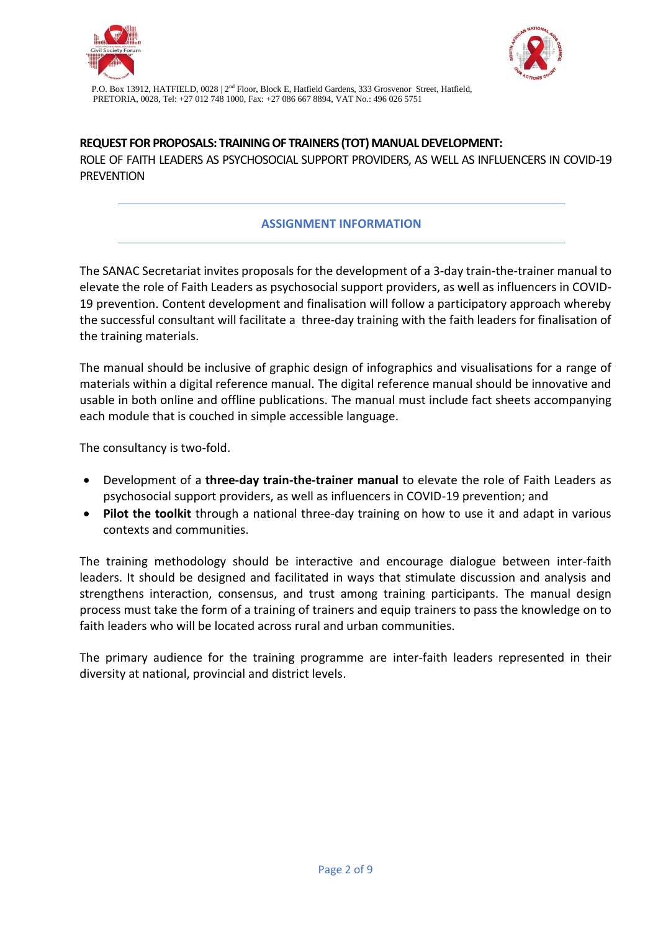



**REQUEST FOR PROPOSALS: TRAINING OF TRAINERS (TOT) MANUAL DEVELOPMENT:**  ROLE OF FAITH LEADERS AS PSYCHOSOCIAL SUPPORT PROVIDERS, AS WELL AS INFLUENCERS IN COVID-19 **PREVENTION** 

## **ASSIGNMENT INFORMATION**

The SANAC Secretariat invites proposals for the development of a 3-day train-the-trainer manual to elevate the role of Faith Leaders as psychosocial support providers, as well as influencers in COVID-19 prevention. Content development and finalisation will follow a participatory approach whereby the successful consultant will facilitate a three-day training with the faith leaders for finalisation of the training materials.

The manual should be inclusive of graphic design of infographics and visualisations for a range of materials within a digital reference manual. The digital reference manual should be innovative and usable in both online and offline publications. The manual must include fact sheets accompanying each module that is couched in simple accessible language.

The consultancy is two-fold.

- Development of a **three-day train-the-trainer manual** to elevate the role of Faith Leaders as psychosocial support providers, as well as influencers in COVID-19 prevention; and
- **Pilot the toolkit** through a national three-day training on how to use it and adapt in various contexts and communities.

The training methodology should be interactive and encourage dialogue between inter-faith leaders. It should be designed and facilitated in ways that stimulate discussion and analysis and strengthens interaction, consensus, and trust among training participants. The manual design process must take the form of a training of trainers and equip trainers to pass the knowledge on to faith leaders who will be located across rural and urban communities.

The primary audience for the training programme are inter-faith leaders represented in their diversity at national, provincial and district levels.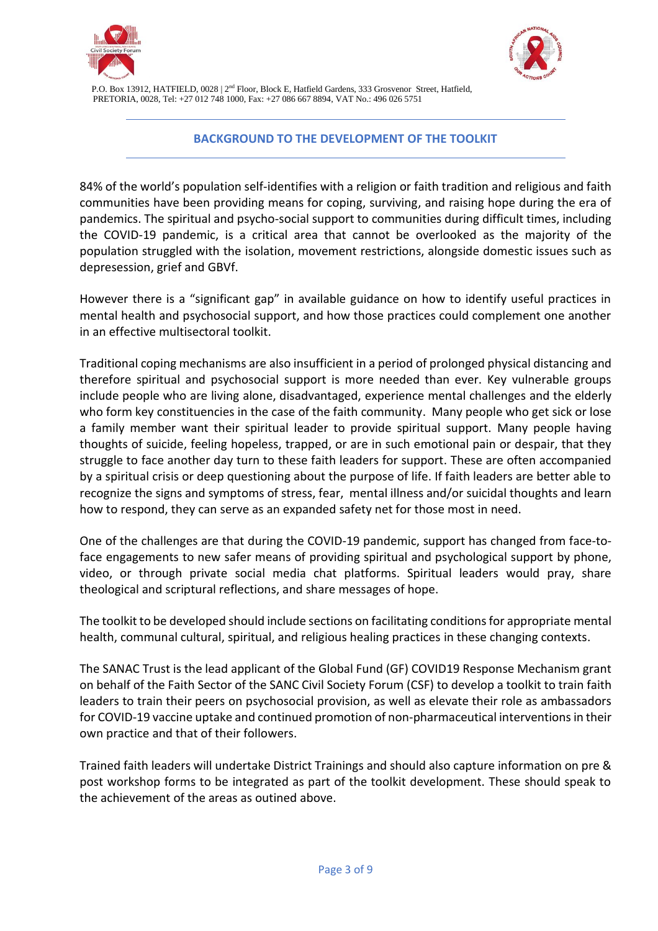



### **BACKGROUND TO THE DEVELOPMENT OF THE TOOLKIT**

84% of the world's population self-identifies with a religion or faith tradition and religious and faith communities have been providing means for coping, surviving, and raising hope during the era of pandemics. The spiritual and psycho-social support to communities during difficult times, including the COVID-19 pandemic, is a critical area that cannot be overlooked as the majority of the population struggled with the isolation, movement restrictions, alongside domestic issues such as depresession, grief and GBVf.

However there is a "significant gap" in available guidance on how to identify useful practices in mental health and psychosocial support, and how those practices could complement one another in an effective multisectoral toolkit.

Traditional coping mechanisms are also insufficient in a period of prolonged physical distancing and therefore spiritual and psychosocial support is more needed than ever. Key vulnerable groups include people who are living alone, disadvantaged, experience mental challenges and the elderly who form key constituencies in the case of the faith community. Many people who get sick or lose a family member want their spiritual leader to provide spiritual support. Many people having thoughts of suicide, feeling hopeless, trapped, or are in such emotional pain or despair, that they struggle to face another day turn to these faith leaders for support. These are often accompanied by a spiritual crisis or deep questioning about the purpose of life. If faith leaders are better able to recognize the signs and symptoms of stress, fear, mental illness and/or suicidal thoughts and learn how to respond, they can serve as an expanded safety net for those most in need.

One of the challenges are that during the COVID-19 pandemic, support has changed from face-toface engagements to new safer means of providing spiritual and psychological support by phone, video, or through private social media chat platforms. Spiritual leaders would pray, share theological and scriptural reflections, and share messages of hope.

The toolkit to be developed should include sections on facilitating conditions for appropriate mental health, communal cultural, spiritual, and religious healing practices in these changing contexts.

The SANAC Trust is the lead applicant of the Global Fund (GF) COVID19 Response Mechanism grant on behalf of the Faith Sector of the SANC Civil Society Forum (CSF) to develop a toolkit to train faith leaders to train their peers on psychosocial provision, as well as elevate their role as ambassadors for COVID-19 vaccine uptake and continued promotion of non-pharmaceutical interventions in their own practice and that of their followers.

Trained faith leaders will undertake District Trainings and should also capture information on pre & post workshop forms to be integrated as part of the toolkit development. These should speak to the achievement of the areas as outined above.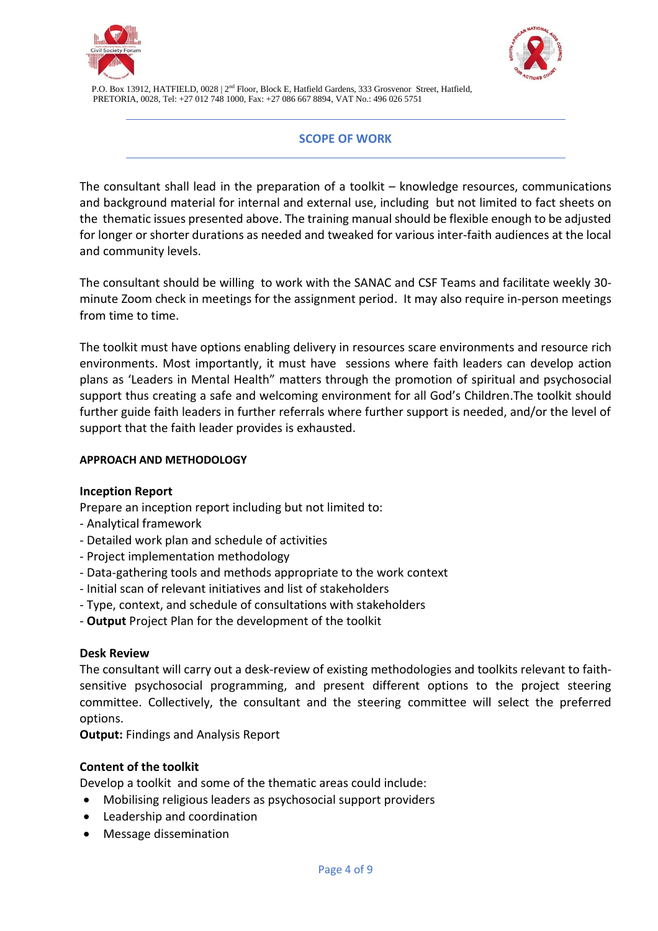



### **SCOPE OF WORK**

The consultant shall lead in the preparation of a toolkit – knowledge resources, communications and background material for internal and external use, including but not limited to fact sheets on the thematic issues presented above. The training manual should be flexible enough to be adjusted for longer or shorter durations as needed and tweaked for various inter-faith audiences at the local and community levels.

The consultant should be willing to work with the SANAC and CSF Teams and facilitate weekly 30 minute Zoom check in meetings for the assignment period. It may also require in-person meetings from time to time.

The toolkit must have options enabling delivery in resources scare environments and resource rich environments. Most importantly, it must have sessions where faith leaders can develop action plans as 'Leaders in Mental Health" matters through the promotion of spiritual and psychosocial support thus creating a safe and welcoming environment for all God's Children.The toolkit should further guide faith leaders in further referrals where further support is needed, and/or the level of support that the faith leader provides is exhausted.

#### **APPROACH AND METHODOLOGY**

### **Inception Report**

Prepare an inception report including but not limited to:

- Analytical framework
- Detailed work plan and schedule of activities
- Project implementation methodology
- Data-gathering tools and methods appropriate to the work context
- Initial scan of relevant initiatives and list of stakeholders
- Type, context, and schedule of consultations with stakeholders
- **Output** Project Plan for the development of the toolkit

### **Desk Review**

The consultant will carry out a desk-review of existing methodologies and toolkits relevant to faithsensitive psychosocial programming, and present different options to the project steering committee. Collectively, the consultant and the steering committee will select the preferred options.

**Output:** Findings and Analysis Report

### **Content of the toolkit**

Develop a toolkit and some of the thematic areas could include:

- Mobilising religious leaders as psychosocial support providers
- Leadership and coordination
- Message dissemination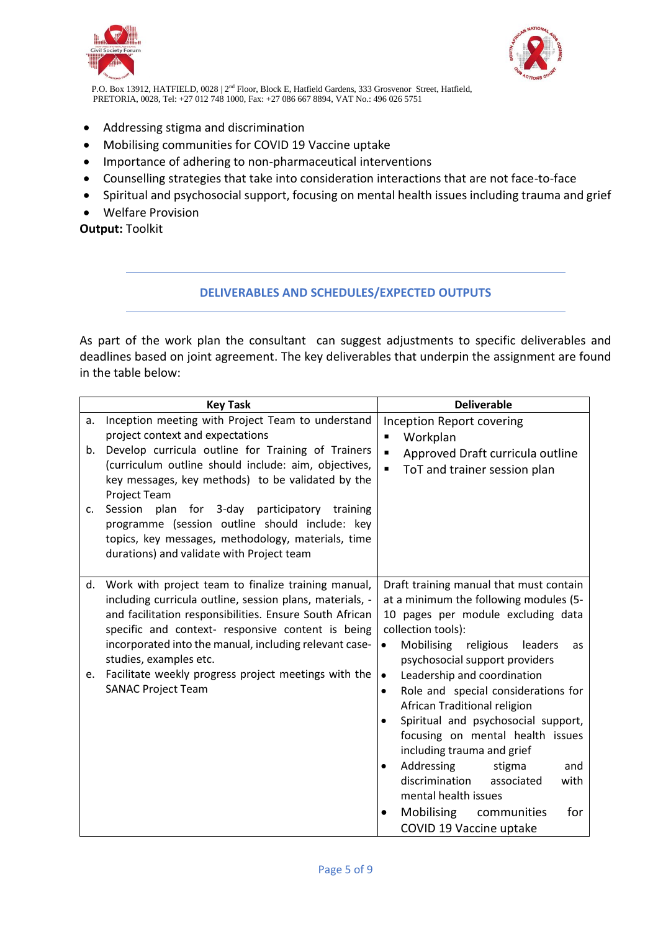



- Addressing stigma and discrimination
- Mobilising communities for COVID 19 Vaccine uptake
- Importance of adhering to non-pharmaceutical interventions
- Counselling strategies that take into consideration interactions that are not face-to-face
- Spiritual and psychosocial support, focusing on mental health issues including trauma and grief
- Welfare Provision

**Output:** Toolkit

### **DELIVERABLES AND SCHEDULES/EXPECTED OUTPUTS**

As part of the work plan the consultant can suggest adjustments to specific deliverables and deadlines based on joint agreement. The key deliverables that underpin the assignment are found in the table below:

|                | <b>Key Task</b>                                                                                                                                                                                                                                                                                                                                                                                                                                                                      | <b>Deliverable</b>                                                                                                                                                                                                                                                                                                                                                                                                                                                                                                                                                                                                                                        |  |
|----------------|--------------------------------------------------------------------------------------------------------------------------------------------------------------------------------------------------------------------------------------------------------------------------------------------------------------------------------------------------------------------------------------------------------------------------------------------------------------------------------------|-----------------------------------------------------------------------------------------------------------------------------------------------------------------------------------------------------------------------------------------------------------------------------------------------------------------------------------------------------------------------------------------------------------------------------------------------------------------------------------------------------------------------------------------------------------------------------------------------------------------------------------------------------------|--|
| a.<br>b.<br>c. | Inception meeting with Project Team to understand<br>project context and expectations<br>Develop curricula outline for Training of Trainers<br>(curriculum outline should include: aim, objectives,<br>key messages, key methods) to be validated by the<br>Project Team<br>Session<br>plan<br>for 3-day participatory training<br>programme (session outline should include: key<br>topics, key messages, methodology, materials, time<br>durations) and validate with Project team | <b>Inception Report covering</b><br>Workplan<br>Approved Draft curricula outline<br>$\blacksquare$<br>ToT and trainer session plan                                                                                                                                                                                                                                                                                                                                                                                                                                                                                                                        |  |
| d.<br>e.       | Work with project team to finalize training manual,<br>including curricula outline, session plans, materials, -<br>and facilitation responsibilities. Ensure South African<br>specific and context- responsive content is being<br>incorporated into the manual, including relevant case-<br>studies, examples etc.<br>Facilitate weekly progress project meetings with the<br><b>SANAC Project Team</b>                                                                             | Draft training manual that must contain<br>at a minimum the following modules (5-<br>10 pages per module excluding data<br>collection tools):<br>Mobilising<br>religious<br>leaders<br>$\bullet$<br>as<br>psychosocial support providers<br>Leadership and coordination<br>$\bullet$<br>Role and special considerations for<br>$\bullet$<br>African Traditional religion<br>Spiritual and psychosocial support,<br>focusing on mental health issues<br>including trauma and grief<br>Addressing<br>stigma<br>and<br>discrimination<br>associated<br>with<br>mental health issues<br>Mobilising communities<br>for<br>$\bullet$<br>COVID 19 Vaccine uptake |  |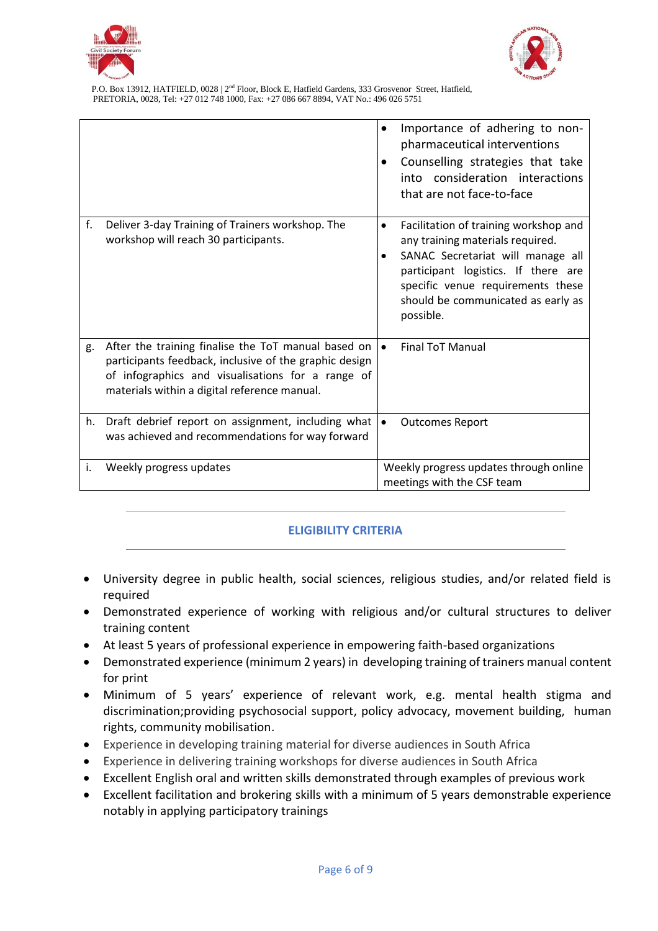



|    |                                                                                                                                                                                                                    |           | Importance of adhering to non-<br>pharmaceutical interventions<br>Counselling strategies that take<br>into consideration interactions<br>that are not face-to-face                                                                            |
|----|--------------------------------------------------------------------------------------------------------------------------------------------------------------------------------------------------------------------|-----------|-----------------------------------------------------------------------------------------------------------------------------------------------------------------------------------------------------------------------------------------------|
| f. | Deliver 3-day Training of Trainers workshop. The<br>workshop will reach 30 participants.                                                                                                                           | $\bullet$ | Facilitation of training workshop and<br>any training materials required.<br>SANAC Secretariat will manage all<br>participant logistics. If there are<br>specific venue requirements these<br>should be communicated as early as<br>possible. |
| g. | After the training finalise the ToT manual based on<br>participants feedback, inclusive of the graphic design<br>of infographics and visualisations for a range of<br>materials within a digital reference manual. | $\bullet$ | <b>Final ToT Manual</b>                                                                                                                                                                                                                       |
| h. | Draft debrief report on assignment, including what<br>was achieved and recommendations for way forward                                                                                                             | $\bullet$ | <b>Outcomes Report</b>                                                                                                                                                                                                                        |
| i. | Weekly progress updates                                                                                                                                                                                            |           | Weekly progress updates through online<br>meetings with the CSF team                                                                                                                                                                          |

## **ELIGIBILITY CRITERIA**

- University degree in public health, social sciences, religious studies, and/or related field is required
- Demonstrated experience of working with religious and/or cultural structures to deliver training content
- At least 5 years of professional experience in empowering faith-based organizations
- Demonstrated experience (minimum 2 years) in developing training of trainers manual content for print
- Minimum of 5 years' experience of relevant work, e.g. mental health stigma and discrimination;providing psychosocial support, policy advocacy, movement building, human rights, community mobilisation.
- Experience in developing training material for diverse audiences in South Africa
- Experience in delivering training workshops for diverse audiences in South Africa
- Excellent English oral and written skills demonstrated through examples of previous work
- Excellent facilitation and brokering skills with a minimum of 5 years demonstrable experience notably in applying participatory trainings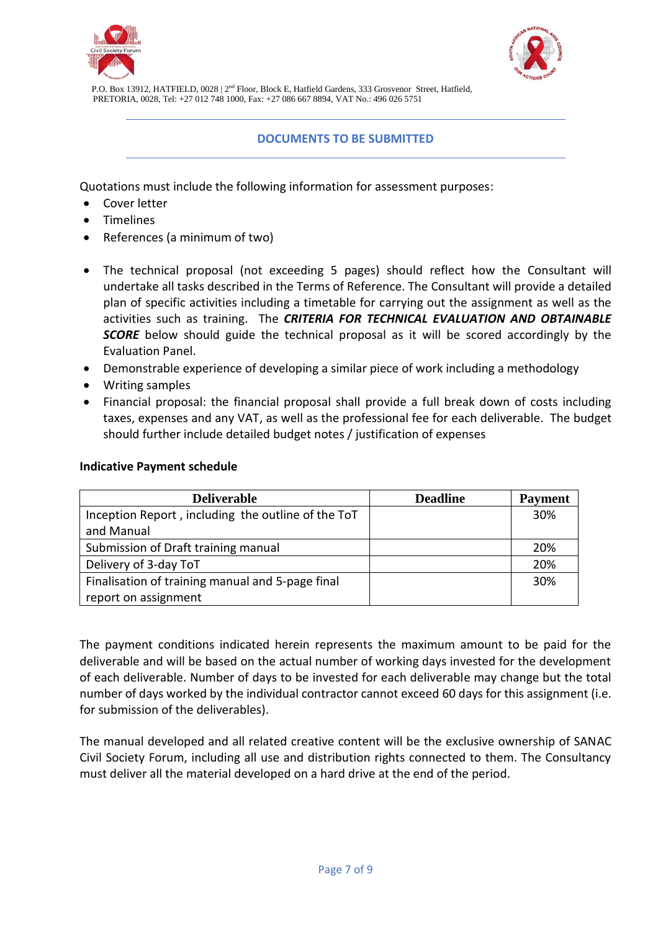



### **DOCUMENTS TO BE SUBMITTED**

Quotations must include the following information for assessment purposes:

- Cover letter
- Timelines
- References (a minimum of two)
- The technical proposal (not exceeding 5 pages) should reflect how the Consultant will undertake all tasks described in the Terms of Reference. The Consultant will provide a detailed plan of specific activities including a timetable for carrying out the assignment as well as the activities such as training. The *CRITERIA FOR TECHNICAL EVALUATION AND OBTAINABLE SCORE* below should guide the technical proposal as it will be scored accordingly by the Evaluation Panel.
- Demonstrable experience of developing a similar piece of work including a methodology
- Writing samples
- Financial proposal: the financial proposal shall provide a full break down of costs including taxes, expenses and any VAT, as well as the professional fee for each deliverable. The budget should further include detailed budget notes / justification of expenses

| <b>Deliverable</b>                                 | <b>Deadline</b> | <b>Payment</b> |
|----------------------------------------------------|-----------------|----------------|
| Inception Report, including the outline of the ToT |                 | 30%            |
| and Manual                                         |                 |                |
| Submission of Draft training manual                |                 | 20%            |
| Delivery of 3-day ToT                              |                 | 20%            |
| Finalisation of training manual and 5-page final   |                 | 30%            |
| report on assignment                               |                 |                |

#### **Indicative Payment schedule**

The payment conditions indicated herein represents the maximum amount to be paid for the deliverable and will be based on the actual number of working days invested for the development of each deliverable. Number of days to be invested for each deliverable may change but the total number of days worked by the individual contractor cannot exceed 60 days for this assignment (i.e. for submission of the deliverables).

The manual developed and all related creative content will be the exclusive ownership of SANAC Civil Society Forum, including all use and distribution rights connected to them. The Consultancy must deliver all the material developed on a hard drive at the end of the period.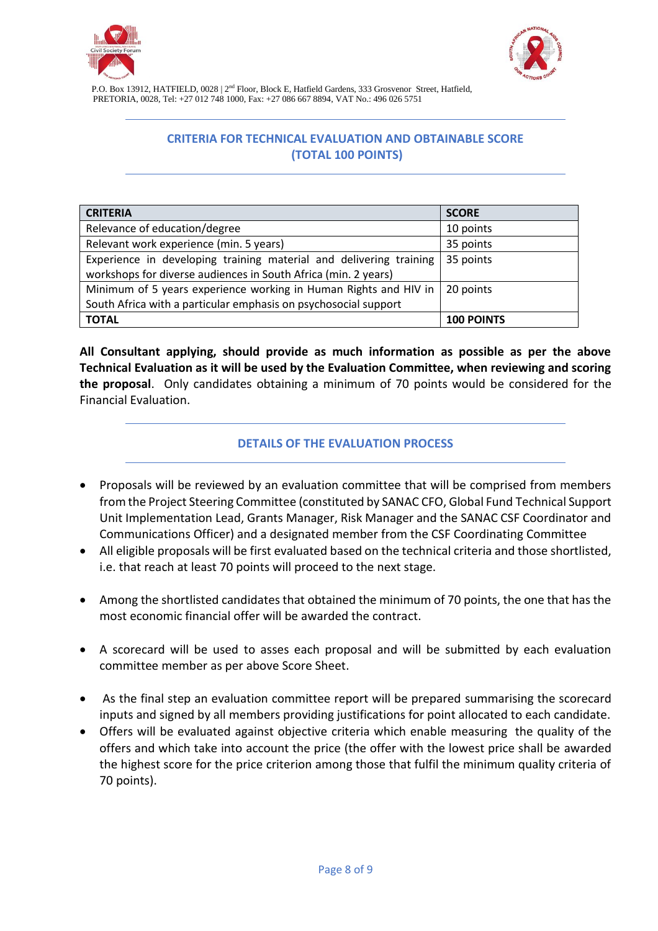



# **CRITERIA FOR TECHNICAL EVALUATION AND OBTAINABLE SCORE (TOTAL 100 POINTS)**

| <b>CRITERIA</b>                                                    | <b>SCORE</b>      |
|--------------------------------------------------------------------|-------------------|
| Relevance of education/degree                                      | 10 points         |
| Relevant work experience (min. 5 years)                            | 35 points         |
| Experience in developing training material and delivering training | 35 points         |
| workshops for diverse audiences in South Africa (min. 2 years)     |                   |
| Minimum of 5 years experience working in Human Rights and HIV in   | 20 points         |
| South Africa with a particular emphasis on psychosocial support    |                   |
| <b>TOTAL</b>                                                       | <b>100 POINTS</b> |

**All Consultant applying, should provide as much information as possible as per the above Technical Evaluation as it will be used by the Evaluation Committee, when reviewing and scoring the proposal**. Only candidates obtaining a minimum of 70 points would be considered for the Financial Evaluation.

### **DETAILS OF THE EVALUATION PROCESS**

- Proposals will be reviewed by an evaluation committee that will be comprised from members from the Project Steering Committee (constituted by SANAC CFO, Global Fund Technical Support Unit Implementation Lead, Grants Manager, Risk Manager and the SANAC CSF Coordinator and Communications Officer) and a designated member from the CSF Coordinating Committee
- All eligible proposals will be first evaluated based on the technical criteria and those shortlisted, i.e. that reach at least 70 points will proceed to the next stage.
- Among the shortlisted candidates that obtained the minimum of 70 points, the one that has the most economic financial offer will be awarded the contract.
- A scorecard will be used to asses each proposal and will be submitted by each evaluation committee member as per above Score Sheet.
- As the final step an evaluation committee report will be prepared summarising the scorecard inputs and signed by all members providing justifications for point allocated to each candidate.
- Offers will be evaluated against objective criteria which enable measuring the quality of the offers and which take into account the price (the offer with the lowest price shall be awarded the highest score for the price criterion among those that fulfil the minimum quality criteria of 70 points).